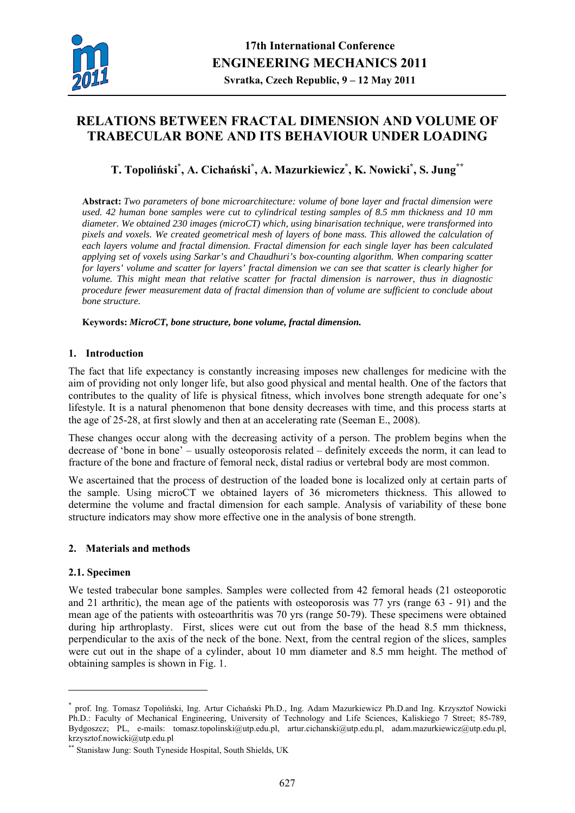

# **RELATIONS BETWEEN FRACTAL DIMENSION AND VOLUME OF TRABECULAR BONE AND ITS BEHAVIOUR UNDER LOADING**

## **T. Topoliński\* , A. Cichański\* , A. Mazurkiewicz\* , K. Nowicki\* , S. Jung\*\***

**Abstract:** *Two parameters of bone microarchitecture: volume of bone layer and fractal dimension were used. 42 human bone samples were cut to cylindrical testing samples of 8.5 mm thickness and 10 mm diameter. We obtained 230 images (microCT) which, using binarisation technique, were transformed into pixels and voxels. We created geometrical mesh of layers of bone mass. This allowed the calculation of each layers volume and fractal dimension. Fractal dimension for each single layer has been calculated applying set of voxels using Sarkar's and Chaudhuri's box-counting algorithm. When comparing scatter for layers' volume and scatter for layers' fractal dimension we can see that scatter is clearly higher for volume. This might mean that relative scatter for fractal dimension is narrower, thus in diagnostic procedure fewer measurement data of fractal dimension than of volume are sufficient to conclude about bone structure.* 

**Keywords:** *MicroCT, bone structure, bone volume, fractal dimension.* 

#### **1. Introduction**

The fact that life expectancy is constantly increasing imposes new challenges for medicine with the aim of providing not only longer life, but also good physical and mental health. One of the factors that contributes to the quality of life is physical fitness, which involves bone strength adequate for one's lifestyle. It is a natural phenomenon that bone density decreases with time, and this process starts at the age of 25-28, at first slowly and then at an accelerating rate (Seeman E., 2008).

These changes occur along with the decreasing activity of a person. The problem begins when the decrease of 'bone in bone' – usually osteoporosis related – definitely exceeds the norm, it can lead to fracture of the bone and fracture of femoral neck, distal radius or vertebral body are most common.

We ascertained that the process of destruction of the loaded bone is localized only at certain parts of the sample. Using microCT we obtained layers of 36 micrometers thickness. This allowed to determine the volume and fractal dimension for each sample. Analysis of variability of these bone structure indicators may show more effective one in the analysis of bone strength.

### **2. Materials and methods**

#### **2.1. Specimen**

<u>.</u>

We tested trabecular bone samples. Samples were collected from 42 femoral heads (21 osteoporotic and 21 arthritic), the mean age of the patients with osteoporosis was 77 yrs (range 63 - 91) and the mean age of the patients with osteoarthritis was 70 yrs (range 50-79). These specimens were obtained during hip arthroplasty. First, slices were cut out from the base of the head 8.5 mm thickness, perpendicular to the axis of the neck of the bone. Next, from the central region of the slices, samples were cut out in the shape of a cylinder, about 10 mm diameter and 8.5 mm height. The method of obtaining samples is shown in Fig. 1.

<sup>\*</sup> prof. Ing. Tomasz Topoliński, Ing. Artur Cichański Ph.D., Ing. Adam Mazurkiewicz Ph.D.and Ing. Krzysztof Nowicki Ph.D.: Faculty of Mechanical Engineering, University of Technology and Life Sciences, Kaliskiego 7 Street; 85-789, Bydgoszcz; PL, e-mails: tomasz.topolinski@utp.edu.pl, artur.cichanski@utp.edu.pl, adam.mazurkiewicz@utp.edu.pl, krzysztof.nowicki@utp.edu.pl

<sup>\*\*</sup> Stanisław Jung: South Tyneside Hospital, South Shields, UK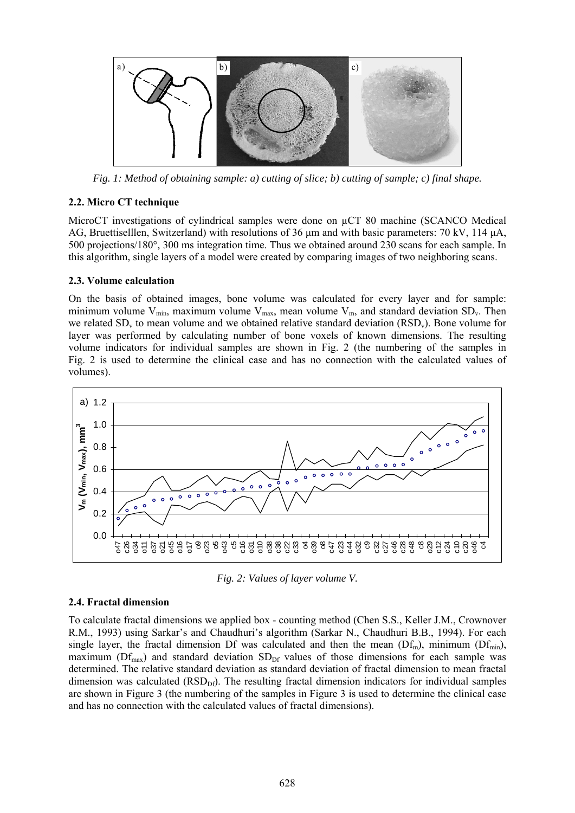

*Fig. 1: Method of obtaining sample: a) cutting of slice; b) cutting of sample; c) final shape.* 

### **2.2. Micro CT technique**

MicroCT investigations of cylindrical samples were done on  $\mu$ CT 80 machine (SCANCO Medical AG, Bruettiselllen, Switzerland) with resolutions of 36 μm and with basic parameters: 70 kV, 114 μA, 500 projections/180°, 300 ms integration time. Thus we obtained around 230 scans for each sample. In this algorithm, single layers of a model were created by comparing images of two neighboring scans.

### **2.3. Volume calculation**

On the basis of obtained images, bone volume was calculated for every layer and for sample: minimum volume  $V_{min}$ , maximum volume  $V_{max}$ , mean volume  $V_{m}$ , and standard deviation SD<sub>v</sub>. Then we related  $SD<sub>v</sub>$  to mean volume and we obtained relative standard deviation  $(RSD<sub>v</sub>)$ . Bone volume for layer was performed by calculating number of bone voxels of known dimensions. The resulting volume indicators for individual samples are shown in Fig. 2 (the numbering of the samples in Fig. 2 is used to determine the clinical case and has no connection with the calculated values of volumes).



*Fig. 2: Values of layer volume V.* 

## **2.4. Fractal dimension**

To calculate fractal dimensions we applied box - counting method (Chen S.S., Keller J.M., Crownover R.M., 1993) using Sarkar's and Chaudhuri's algorithm (Sarkar N., Chaudhuri B.B., 1994). For each single layer, the fractal dimension Df was calculated and then the mean  $(Df_m)$ , minimum  $(Df_{min})$ , maximum ( $Df_{max}$ ) and standard deviation  $SD_{DF}$  values of those dimensions for each sample was determined. The relative standard deviation as standard deviation of fractal dimension to mean fractal dimension was calculated (RSD<sub>Df</sub>). The resulting fractal dimension indicators for individual samples are shown in Figure 3 (the numbering of the samples in Figure 3 is used to determine the clinical case and has no connection with the calculated values of fractal dimensions).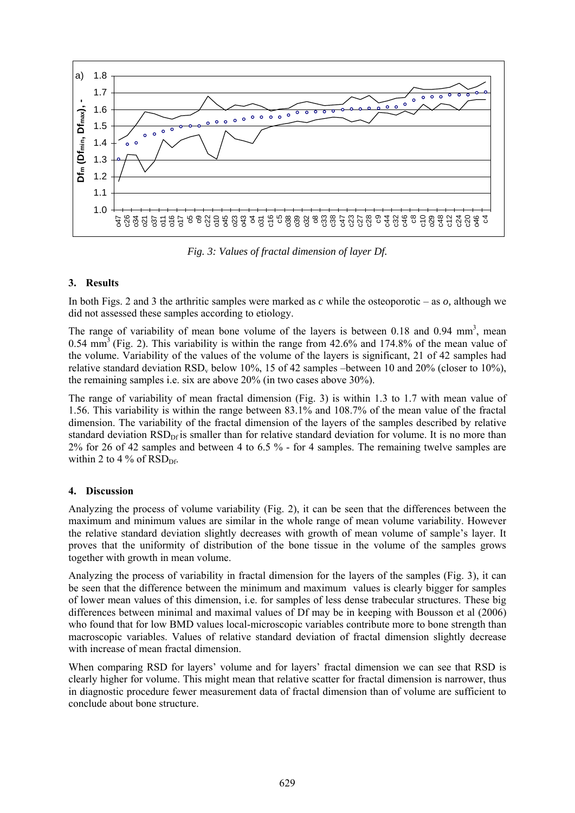

*Fig. 3: Values of fractal dimension of layer Df.* 

### **3. Results**

In both Figs. 2 and 3 the arthritic samples were marked as *c* while the osteoporotic – as *o,* although we did not assessed these samples according to etiology.

The range of variability of mean bone volume of the layers is between  $0.18$  and  $0.94$  mm<sup>3</sup>, mean 0.54 mm3 (Fig. 2). This variability is within the range from 42.6% and 174.8% of the mean value of the volume. Variability of the values of the volume of the layers is significant, 21 of 42 samples had relative standard deviation RSD<sub>v</sub> below 10%, 15 of 42 samples –between 10 and 20% (closer to 10%), the remaining samples i.e. six are above 20% (in two cases above 30%).

The range of variability of mean fractal dimension (Fig. 3) is within 1.3 to 1.7 with mean value of 1.56. This variability is within the range between 83.1% and 108.7% of the mean value of the fractal dimension. The variability of the fractal dimension of the layers of the samples described by relative standard deviation  $RSD<sub>DF</sub>$  is smaller than for relative standard deviation for volume. It is no more than 2% for 26 of 42 samples and between 4 to 6.5 % - for 4 samples. The remaining twelve samples are within 2 to 4 % of  $RSD<sub>DF</sub>$ .

#### **4. Discussion**

Analyzing the process of volume variability (Fig. 2), it can be seen that the differences between the maximum and minimum values are similar in the whole range of mean volume variability. However the relative standard deviation slightly decreases with growth of mean volume of sample's layer. It proves that the uniformity of distribution of the bone tissue in the volume of the samples grows together with growth in mean volume.

Analyzing the process of variability in fractal dimension for the layers of the samples (Fig. 3), it can be seen that the difference between the minimum and maximum values is clearly bigger for samples of lower mean values of this dimension, i.e. for samples of less dense trabecular structures. These big differences between minimal and maximal values of Df may be in keeping with Bousson et al (2006) who found that for low BMD values local-microscopic variables contribute more to bone strength than macroscopic variables. Values of relative standard deviation of fractal dimension slightly decrease with increase of mean fractal dimension.

When comparing RSD for layers' volume and for layers' fractal dimension we can see that RSD is clearly higher for volume. This might mean that relative scatter for fractal dimension is narrower, thus in diagnostic procedure fewer measurement data of fractal dimension than of volume are sufficient to conclude about bone structure.